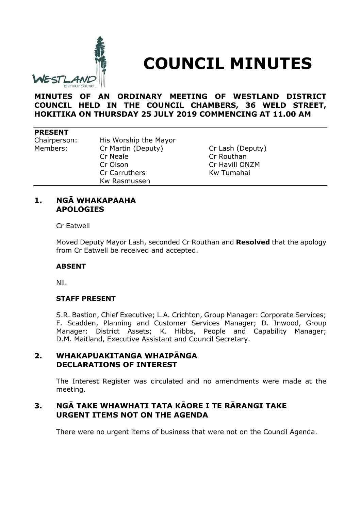

# **COUNCIL MINUTES**

**MINUTES OF AN ORDINARY MEETING OF WESTLAND DISTRICT COUNCIL HELD IN THE COUNCIL CHAMBERS, 36 WELD STREET, HOKITIKA ON THURSDAY 25 JULY 2019 COMMENCING AT 11.00 AM**

#### **PRESENT**

Chairperson: His Worship the Mayor Members: Cr Martin (Deputy) Cr Lash (Deputy) Cr Neale Cr Routhan Cr Olson Cr Havill ONZM Cr Carruthers Kw Tumahai Kw Rasmussen

## **1. NGĀ WHAKAPAAHA APOLOGIES**

Cr Eatwell

Moved Deputy Mayor Lash, seconded Cr Routhan and **Resolved** that the apology from Cr Eatwell be received and accepted.

#### **ABSENT**

Nil.

#### **STAFF PRESENT**

S.R. Bastion, Chief Executive; L.A. Crichton, Group Manager: Corporate Services; F. Scadden, Planning and Customer Services Manager; D. Inwood, Group Manager: District Assets; K. Hibbs, People and Capability Manager; D.M. Maitland, Executive Assistant and Council Secretary.

## **2. WHAKAPUAKITANGA WHAIPĀNGA DECLARATIONS OF INTEREST**

The Interest Register was circulated and no amendments were made at the meeting.

# **3. NGĀ TAKE WHAWHATI TATA KĀORE I TE RĀRANGI TAKE URGENT ITEMS NOT ON THE AGENDA**

There were no urgent items of business that were not on the Council Agenda.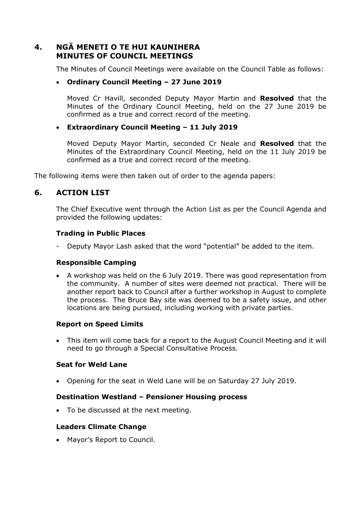# **4. NGĀ MENETI O TE HUI KAUNIHERA MINUTES OF COUNCIL MEETINGS**

The Minutes of Council Meetings were available on the Council Table as follows:

## **Ordinary Council Meeting – 27 June 2019**

Moved Cr Havill, seconded Deputy Mayor Martin and **Resolved** that the Minutes of the Ordinary Council Meeting, held on the 27 June 2019 be confirmed as a true and correct record of the meeting.

## **Extraordinary Council Meeting – 11 July 2019**

Moved Deputy Mayor Martin, seconded Cr Neale and **Resolved** that the Minutes of the Extraordinary Council Meeting, held on the 11 July 2019 be confirmed as a true and correct record of the meeting.

The following items were then taken out of order to the agenda papers:

# **6. ACTION LIST**

The Chief Executive went through the Action List as per the Council Agenda and provided the following updates:

### **Trading in Public Places**

Deputy Mayor Lash asked that the word "potential" be added to the item.

### **Responsible Camping**

 A workshop was held on the 6 July 2019. There was good representation from the community. A number of sites were deemed not practical. There will be another report back to Council after a further workshop in August to complete the process. The Bruce Bay site was deemed to be a safety issue, and other locations are being pursued, including working with private parties.

# **Report on Speed Limits**

 This item will come back for a report to the August Council Meeting and it will need to go through a Special Consultative Process.

### **Seat for Weld Lane**

Opening for the seat in Weld Lane will be on Saturday 27 July 2019.

### **Destination Westland – Pensioner Housing process**

• To be discussed at the next meeting.

### **Leaders Climate Change**

Mayor's Report to Council.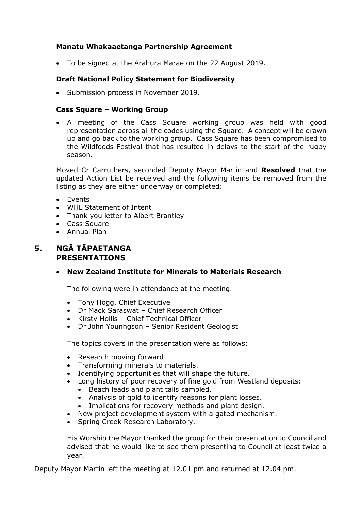## **Manatu Whakaaetanga Partnership Agreement**

To be signed at the Arahura Marae on the 22 August 2019.

## **Draft National Policy Statement for Biodiversity**

• Submission process in November 2019.

#### **Cass Square – Working Group**

 A meeting of the Cass Square working group was held with good representation across all the codes using the Square. A concept will be drawn up and go back to the working group. Cass Square has been compromised to the Wildfoods Festival that has resulted in delays to the start of the rugby season.

Moved Cr Carruthers, seconded Deputy Mayor Martin and **Resolved** that the updated Action List be received and the following items be removed from the listing as they are either underway or completed:

- **•** Events
- WHL Statement of Intent
- Thank you letter to Albert Brantley
- Cass Square
- Annual Plan

# **5. NGĀ TĀPAETANGA PRESENTATIONS**

### **New Zealand Institute for Minerals to Materials Research**

The following were in attendance at the meeting.

- Tony Hogg, Chief Executive
- Dr Mack Saraswat Chief Research Officer
- Kirsty Hollis Chief Technical Officer
- Dr John Younhgson Senior Resident Geologist

The topics covers in the presentation were as follows:

- Research moving forward
- Transforming minerals to materials.
- Identifying opportunities that will shape the future.
- Long history of poor recovery of fine gold from Westland deposits:
	- Beach leads and plant tails sampled.
	- Analysis of gold to identify reasons for plant losses.
	- Implications for recovery methods and plant design.
- New project development system with a gated mechanism.
- Spring Creek Research Laboratory.

His Worship the Mayor thanked the group for their presentation to Council and advised that he would like to see them presenting to Council at least twice a year.

Deputy Mayor Martin left the meeting at 12.01 pm and returned at 12.04 pm.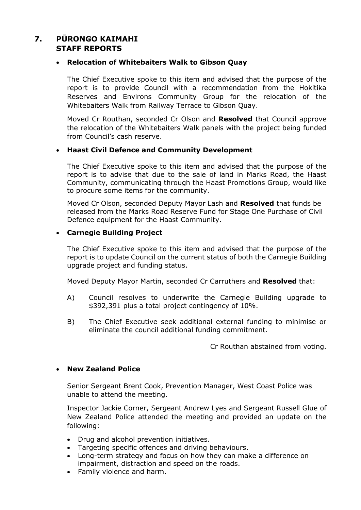# **7. PŪRONGO KAIMAHI STAFF REPORTS**

## **Relocation of Whitebaiters Walk to Gibson Quay**

The Chief Executive spoke to this item and advised that the purpose of the report is to provide Council with a recommendation from the Hokitika Reserves and Environs Community Group for the relocation of the Whitebaiters Walk from Railway Terrace to Gibson Quay.

Moved Cr Routhan, seconded Cr Olson and **Resolved** that Council approve the relocation of the Whitebaiters Walk panels with the project being funded from Council's cash reserve.

### **Haast Civil Defence and Community Development**

The Chief Executive spoke to this item and advised that the purpose of the report is to advise that due to the sale of land in Marks Road, the Haast Community, communicating through the Haast Promotions Group, would like to procure some items for the community.

Moved Cr Olson, seconded Deputy Mayor Lash and **Resolved** that funds be released from the Marks Road Reserve Fund for Stage One Purchase of Civil Defence equipment for the Haast Community.

### **Carnegie Building Project**

The Chief Executive spoke to this item and advised that the purpose of the report is to update Council on the current status of both the Carnegie Building upgrade project and funding status.

Moved Deputy Mayor Martin, seconded Cr Carruthers and **Resolved** that:

- A) Council resolves to underwrite the Carnegie Building upgrade to \$392,391 plus a total project contingency of 10%.
- B) The Chief Executive seek additional external funding to minimise or eliminate the council additional funding commitment.

Cr Routhan abstained from voting.

### **New Zealand Police**

Senior Sergeant Brent Cook, Prevention Manager, West Coast Police was unable to attend the meeting.

Inspector Jackie Corner, Sergeant Andrew Lyes and Sergeant Russell Glue of New Zealand Police attended the meeting and provided an update on the following:

- Drug and alcohol prevention initiatives.
- Targeting specific offences and driving behaviours.
- Long-term strategy and focus on how they can make a difference on impairment, distraction and speed on the roads.
- Family violence and harm.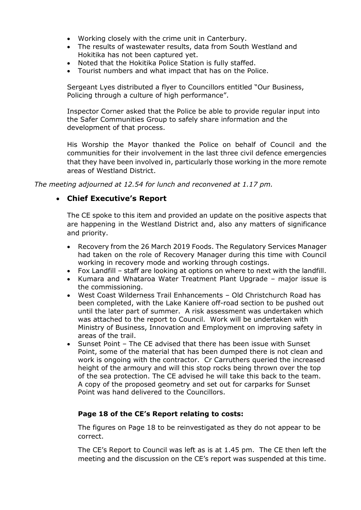- Working closely with the crime unit in Canterbury.
- The results of wastewater results, data from South Westland and Hokitika has not been captured yet.
- Noted that the Hokitika Police Station is fully staffed.
- Tourist numbers and what impact that has on the Police.

Sergeant Lyes distributed a flyer to Councillors entitled "Our Business, Policing through a culture of high performance".

Inspector Corner asked that the Police be able to provide regular input into the Safer Communities Group to safely share information and the development of that process.

His Worship the Mayor thanked the Police on behalf of Council and the communities for their involvement in the last three civil defence emergencies that they have been involved in, particularly those working in the more remote areas of Westland District.

*The meeting adjourned at 12.54 for lunch and reconvened at 1.17 pm.*

# **Chief Executive's Report**

The CE spoke to this item and provided an update on the positive aspects that are happening in the Westland District and, also any matters of significance and priority.

- Recovery from the 26 March 2019 Foods. The Regulatory Services Manager had taken on the role of Recovery Manager during this time with Council working in recovery mode and working through costings.
- Fox Landfill staff are looking at options on where to next with the landfill.
- Kumara and Whataroa Water Treatment Plant Upgrade major issue is the commissioning.
- West Coast Wilderness Trail Enhancements Old Christchurch Road has been completed, with the Lake Kaniere off-road section to be pushed out until the later part of summer. A risk assessment was undertaken which was attached to the report to Council. Work will be undertaken with Ministry of Business, Innovation and Employment on improving safety in areas of the trail.
- Sunset Point The CE advised that there has been issue with Sunset Point, some of the material that has been dumped there is not clean and work is ongoing with the contractor. Cr Carruthers queried the increased height of the armoury and will this stop rocks being thrown over the top of the sea protection. The CE advised he will take this back to the team. A copy of the proposed geometry and set out for carparks for Sunset Point was hand delivered to the Councillors.

### **Page 18 of the CE's Report relating to costs:**

The figures on Page 18 to be reinvestigated as they do not appear to be correct.

The CE's Report to Council was left as is at 1.45 pm. The CE then left the meeting and the discussion on the CE's report was suspended at this time.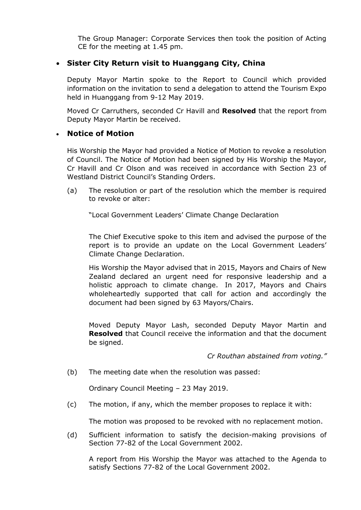The Group Manager: Corporate Services then took the position of Acting CE for the meeting at 1.45 pm.

# **Sister City Return visit to Huanggang City, China**

Deputy Mayor Martin spoke to the Report to Council which provided information on the invitation to send a delegation to attend the Tourism Expo held in Huanggang from 9-12 May 2019.

Moved Cr Carruthers, seconded Cr Havill and **Resolved** that the report from Deputy Mayor Martin be received.

# **Notice of Motion**

His Worship the Mayor had provided a Notice of Motion to revoke a resolution of Council. The Notice of Motion had been signed by His Worship the Mayor, Cr Havill and Cr Olson and was received in accordance with Section 23 of Westland District Council's Standing Orders.

(a) The resolution or part of the resolution which the member is required to revoke or alter:

"Local Government Leaders' Climate Change Declaration

The Chief Executive spoke to this item and advised the purpose of the report is to provide an update on the Local Government Leaders' Climate Change Declaration.

His Worship the Mayor advised that in 2015, Mayors and Chairs of New Zealand declared an urgent need for responsive leadership and a holistic approach to climate change. In 2017, Mayors and Chairs wholeheartedly supported that call for action and accordingly the document had been signed by 63 Mayors/Chairs.

Moved Deputy Mayor Lash, seconded Deputy Mayor Martin and **Resolved** that Council receive the information and that the document be signed.

### *Cr Routhan abstained from voting."*

(b) The meeting date when the resolution was passed:

Ordinary Council Meeting – 23 May 2019.

(c) The motion, if any, which the member proposes to replace it with:

The motion was proposed to be revoked with no replacement motion.

(d) Sufficient information to satisfy the decision-making provisions of Section 77-82 of the Local Government 2002.

A report from His Worship the Mayor was attached to the Agenda to satisfy Sections 77-82 of the Local Government 2002.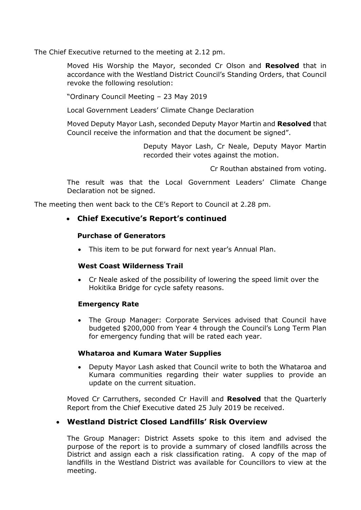The Chief Executive returned to the meeting at 2.12 pm.

Moved His Worship the Mayor, seconded Cr Olson and **Resolved** that in accordance with the Westland District Council's Standing Orders, that Council revoke the following resolution:

"Ordinary Council Meeting – 23 May 2019

Local Government Leaders' Climate Change Declaration

Moved Deputy Mayor Lash, seconded Deputy Mayor Martin and **Resolved** that Council receive the information and that the document be signed".

> Deputy Mayor Lash, Cr Neale, Deputy Mayor Martin recorded their votes against the motion.

> > Cr Routhan abstained from voting.

The result was that the Local Government Leaders' Climate Change Declaration not be signed.

The meeting then went back to the CE's Report to Council at 2.28 pm.

## **Chief Executive's Report's continued**

#### **Purchase of Generators**

This item to be put forward for next year's Annual Plan.

#### **West Coast Wilderness Trail**

 Cr Neale asked of the possibility of lowering the speed limit over the Hokitika Bridge for cycle safety reasons.

### **Emergency Rate**

 The Group Manager: Corporate Services advised that Council have budgeted \$200,000 from Year 4 through the Council's Long Term Plan for emergency funding that will be rated each year.

#### **Whataroa and Kumara Water Supplies**

 Deputy Mayor Lash asked that Council write to both the Whataroa and Kumara communities regarding their water supplies to provide an update on the current situation.

Moved Cr Carruthers, seconded Cr Havill and **Resolved** that the Quarterly Report from the Chief Executive dated 25 July 2019 be received.

# **Westland District Closed Landfills' Risk Overview**

The Group Manager: District Assets spoke to this item and advised the purpose of the report is to provide a summary of closed landfills across the District and assign each a risk classification rating. A copy of the map of landfills in the Westland District was available for Councillors to view at the meeting.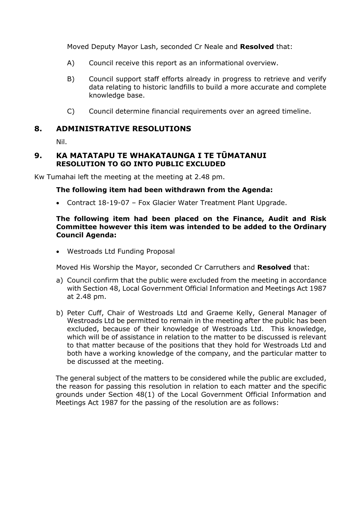Moved Deputy Mayor Lash, seconded Cr Neale and **Resolved** that:

- A) Council receive this report as an informational overview.
- B) Council support staff efforts already in progress to retrieve and verify data relating to historic landfills to build a more accurate and complete knowledge base.
- C) Council determine financial requirements over an agreed timeline.

## **8. ADMINISTRATIVE RESOLUTIONS**

Nil.

## **9. KA MATATAPU TE WHAKATAUNGA I TE TŪMATANUI RESOLUTION TO GO INTO PUBLIC EXCLUDED**

Kw Tumahai left the meeting at the meeting at 2.48 pm.

#### **The following item had been withdrawn from the Agenda:**

Contract 18-19-07 – Fox Glacier Water Treatment Plant Upgrade.

#### **The following item had been placed on the Finance, Audit and Risk Committee however this item was intended to be added to the Ordinary Council Agenda:**

Westroads Ltd Funding Proposal

Moved His Worship the Mayor, seconded Cr Carruthers and **Resolved** that:

- a) Council confirm that the public were excluded from the meeting in accordance with Section 48, Local Government Official Information and Meetings Act 1987 at 2.48 pm.
- b) Peter Cuff, Chair of Westroads Ltd and Graeme Kelly, General Manager of Westroads Ltd be permitted to remain in the meeting after the public has been excluded, because of their knowledge of Westroads Ltd. This knowledge, which will be of assistance in relation to the matter to be discussed is relevant to that matter because of the positions that they hold for Westroads Ltd and both have a working knowledge of the company, and the particular matter to be discussed at the meeting.

The general subject of the matters to be considered while the public are excluded, the reason for passing this resolution in relation to each matter and the specific grounds under Section 48(1) of the Local Government Official Information and Meetings Act 1987 for the passing of the resolution are as follows: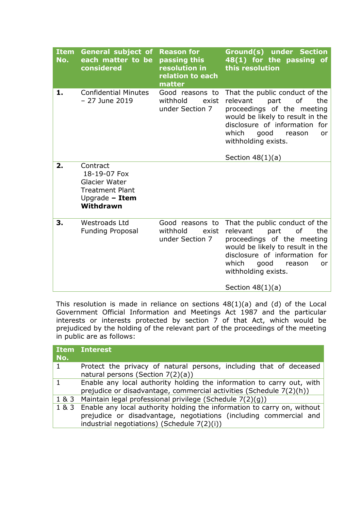| <b>Item</b><br>No. | <b>General subject of</b><br>each matter to be<br>considered                                         | <b>Reason for</b><br>passing this<br>resolution in<br>relation to each<br>matter | Ground(s) under Section<br>48(1) for the passing of<br>this resolution                                                                                                                                                                                             |
|--------------------|------------------------------------------------------------------------------------------------------|----------------------------------------------------------------------------------|--------------------------------------------------------------------------------------------------------------------------------------------------------------------------------------------------------------------------------------------------------------------|
| 1.                 | <b>Confidential Minutes</b><br>$-27$ June 2019                                                       | Good reasons to<br>withhold<br>exist<br>under Section 7                          | That the public conduct of the<br>relevant<br>of<br>part<br>the<br>proceedings of the meeting<br>would be likely to result in the<br>disclosure of information for<br>which<br>good<br>reason<br>or<br>withholding exists.<br>Section $48(1)(a)$                   |
| 2.                 | Contract<br>18-19-07 Fox<br>Glacier Water<br><b>Treatment Plant</b><br>Upgrade $-$ Item<br>Withdrawn |                                                                                  |                                                                                                                                                                                                                                                                    |
| 3.                 | <b>Westroads Ltd</b><br><b>Funding Proposal</b>                                                      | Good reasons to<br>withhold<br>exist<br>under Section 7                          | That the public conduct of the<br>relevant<br><sub>of</sub><br>the<br>part<br>proceedings of the meeting<br>would be likely to result in the<br>disclosure of information for<br>which<br>good<br>reason<br><b>or</b><br>withholding exists.<br>Section $48(1)(a)$ |

This resolution is made in reliance on sections 48(1)(a) and (d) of the Local Government Official Information and Meetings Act 1987 and the particular interests or interests protected by section 7 of that Act, which would be prejudiced by the holding of the relevant part of the proceedings of the meeting in public are as follows:

| No. | <b>Item Interest</b>                                                                                                                                                                              |  |  |
|-----|---------------------------------------------------------------------------------------------------------------------------------------------------------------------------------------------------|--|--|
|     | Protect the privacy of natural persons, including that of deceased<br>natural persons (Section 7(2)(a))                                                                                           |  |  |
|     | Enable any local authority holding the information to carry out, with<br>prejudice or disadvantage, commercial activities (Schedule 7(2)(h))                                                      |  |  |
|     | 1 & 3 Maintain legal professional privilege (Schedule 7(2)(g))                                                                                                                                    |  |  |
|     | 1 & 3 Enable any local authority holding the information to carry on, without<br>prejudice or disadvantage, negotiations (including commercial and<br>industrial negotiations) (Schedule 7(2)(i)) |  |  |